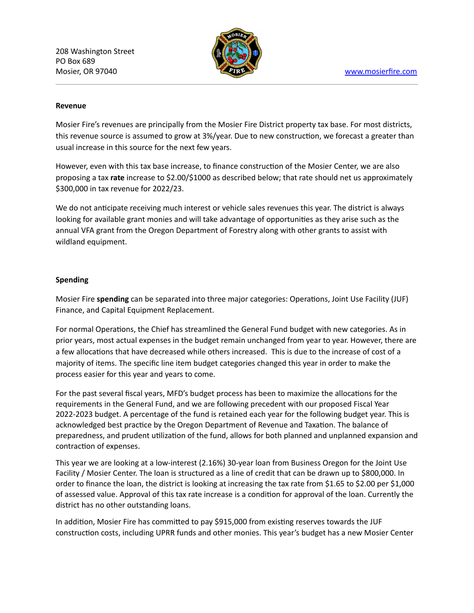208 Washington Street PO Box 689 Mosier, OR 97040 [www.mosierfire.com](http://www.mosierfire.com/)



## **Revenue**

Mosier Fire's revenues are principally from the Mosier Fire District property tax base. For most districts, this revenue source is assumed to grow at 3%/year. Due to new construction, we forecast a greater than usual increase in this source for the next few years.

However, even with this tax base increase, to finance construction of the Mosier Center, we are also proposing a tax **rate** increase to \$2.00/\$1000 as described below; that rate should net us approximately \$300,000 in tax revenue for 2022/23.

We do not anticipate receiving much interest or vehicle sales revenues this year. The district is always looking for available grant monies and will take advantage of opportunities as they arise such as the annual VFA grant from the Oregon Department of Forestry along with other grants to assist with wildland equipment.

## **Spending**

Mosier Fire spending can be separated into three major categories: Operations, Joint Use Facility (JUF) Finance, and Capital Equipment Replacement.

For normal Operations, the Chief has streamlined the General Fund budget with new categories. As in prior years, most actual expenses in the budget remain unchanged from year to year. However, there are a few allocations that have decreased while others increased. This is due to the increase of cost of a majority of items. The specific line item budget categories changed this year in order to make the process easier for this year and years to come.

For the past several fiscal years, MFD's budget process has been to maximize the allocations for the requirements in the General Fund, and we are following precedent with our proposed Fiscal Year 2022-2023 budget. A percentage of the fund is retained each year for the following budget year. This is acknowledged best practice by the Oregon Department of Revenue and Taxation. The balance of preparedness, and prudent utilization of the fund, allows for both planned and unplanned expansion and contraction of expenses.

This year we are looking at a low-interest (2.16%) 30-year loan from Business Oregon for the Joint Use Facility / Mosier Center. The loan is structured as a line of credit that can be drawn up to \$800,000. In order to finance the loan, the district is looking at increasing the tax rate from \$1.65 to \$2.00 per \$1,000 of assessed value. Approval of this tax rate increase is a condition for approval of the loan. Currently the district has no other outstanding loans.

In addition, Mosier Fire has committed to pay \$915,000 from existing reserves towards the JUF construction costs, including UPRR funds and other monies. This year's budget has a new Mosier Center